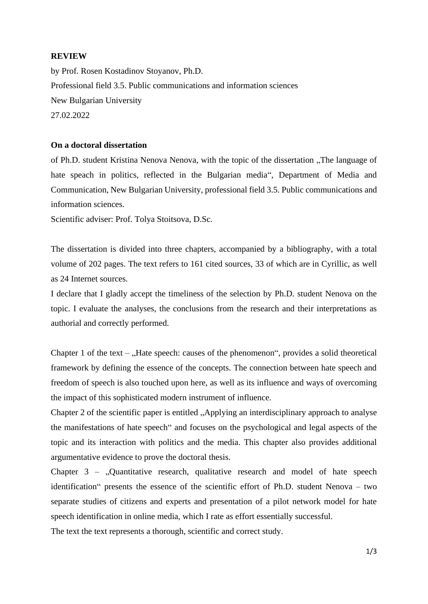### **REVIEW**

by Prof. Rosen Kostadinov Stoyanov, Ph.D. Professional field 3.5. Public communications and information sciences New Bulgarian University 27.02.2022

#### **On a doctoral dissertation**

of Ph.D. student Kristina Nenova Nenova, with the topic of the dissertation "The language of hate speach in politics, reflected in the Bulgarian media", Department of Media and Communication, New Bulgarian University, professional field 3.5. Public communications and information sciences.

Scientific adviser: Prof. Tolya Stoitsova, D.Sc.

The dissertation is divided into three chapters, accompanied by a bibliography, with a total volume of 202 pages. The text refers to 161 cited sources, 33 of which are in Cyrillic, as well as 24 Internet sources.

I declare that I gladly accept the timeliness of the selection by Ph.D. student Nenova on the topic. I evaluate the analyses, the conclusions from the research and their interpretations as authorial and correctly performed.

Chapter 1 of the text –  $,$  Hate speech: causes of the phenomenon", provides a solid theoretical framework by defining the essence of the concepts. The connection between hate speech and freedom of speech is also touched upon here, as well as its influence and ways of overcoming the impact of this sophisticated modern instrument of influence.

Chapter 2 of the scientific paper is entitled . Applying an interdisciplinary approach to analyse the manifestations of hate speech" and focuses on the psychological and legal aspects of the topic and its interaction with politics and the media. This chapter also provides additional argumentative evidence to prove the doctoral thesis.

Chapter  $3 -$ , Quantitative research, qualitative research and model of hate speech identification" presents the essence of the scientific effort of Ph.D. student Nenova – two separate studies of citizens and experts and presentation of a pilot network model for hate speech identification in online media, which I rate as effort essentially successful.

The text the text represents a thorough, scientific and correct study.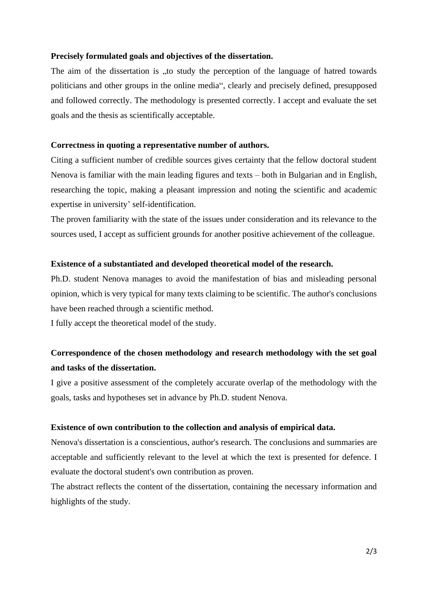# **Precisely formulated goals and objectives of the dissertation.**

The aim of the dissertation is , to study the perception of the language of hatred towards politicians and other groups in the online media", clearly and precisely defined, presupposed and followed correctly. The methodology is presented correctly. I accept and evaluate the set goals and the thesis as scientifically acceptable.

#### **Correctness in quoting a representative number of authors.**

Citing a sufficient number of credible sources gives certainty that the fellow doctoral student Nenova is familiar with the main leading figures and texts – both in Bulgarian and in English, researching the topic, making a pleasant impression and noting the scientific and academic expertise in university' self-identification.

The proven familiarity with the state of the issues under consideration and its relevance to the sources used, I accept as sufficient grounds for another positive achievement of the colleague.

#### **Existence of a substantiated and developed theoretical model of the research.**

Ph.D. student Nenova manages to avoid the manifestation of bias and misleading personal opinion, which is very typical for many texts claiming to be scientific. The author's conclusions have been reached through a scientific method.

I fully accept the theoretical model of the study.

# **Correspondence of the chosen methodology and research methodology with the set goal and tasks of the dissertation.**

I give a positive assessment of the completely accurate overlap of the methodology with the goals, tasks and hypotheses set in advance by Ph.D. student Nenova.

## **Existence of own contribution to the collection and analysis of empirical data.**

Nenova's dissertation is a conscientious, author's research. The conclusions and summaries are acceptable and sufficiently relevant to the level at which the text is presented for defence. I evaluate the doctoral student's own contribution as proven.

The abstract reflects the content of the dissertation, containing the necessary information and highlights of the study.